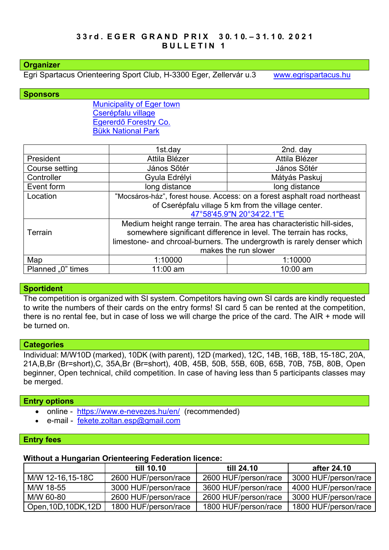## **Organizer**

Egri Spartacus Orienteering Sport Club, H-3300 Eger, Zellervár u.3 [www.egrispartacus.hu](http://www.egrispartacus.hu/)

#### **Sponsors**

[Municipality of Eger town](http://varos.eger.hu/) [Cserépfalu village](http://cserepfalu.hu/) Egererdő [Forestry Co.](http://client4.springmedia.hu/) [Bükk N](https://www.bnpi.hu/)ational Park

|                   | 1st.day                                                                  | 2nd. day                                                               |  |
|-------------------|--------------------------------------------------------------------------|------------------------------------------------------------------------|--|
| President         | Attila Blézer                                                            | Attila Blézer                                                          |  |
| Course setting    | János Sőtér                                                              | János Sőtér                                                            |  |
| Controller        | Gyula Edrélyi                                                            | Mátyás Paskuj                                                          |  |
| Event form        | long distance                                                            | long distance                                                          |  |
| Location          | "Mocsáros-ház", forest house. Access: on a forest asphalt road northeast |                                                                        |  |
|                   | of Cserépfalu village 5 km from the village center.                      |                                                                        |  |
|                   | 47°58'45.9"N 20°34'22.1"E                                                |                                                                        |  |
|                   |                                                                          | Medium height range terrain. The area has characteristic hill-sides,   |  |
| Terrain           | somewhere significant difference in level. The terrain has rocks,        |                                                                        |  |
|                   |                                                                          | limestone- and chrcoal-burners. The undergrowth is rarely denser which |  |
|                   | makes the run slower                                                     |                                                                        |  |
| Map               | 1:10000                                                                  | 1:10000                                                                |  |
| Planned "0" times | 11:00 am                                                                 | 10:00 am                                                               |  |

#### **Sportident**

The competition is organized with SI system. Competitors having own SI cards are kindly requested to write the numbers of their cards on the entry forms! SI card 5 can be rented at the competition, there is no rental fee, but in case of loss we will charge the price of the card. The AIR + mode will be turned on.

## **Categories**

Individual: M/W10D (marked), 10DK (with parent), 12D (marked), 12C, 14B, 16B, 18B, 15-18C, 20A, 21A,B,Br (Br=short),C, 35A,Br (Br=short), 40B, 45B, 50B, 55B, 60B, 65B, 70B, 75B, 80B, Open beginner, Open technical, child competition. In case of having less than 5 participants classes may be merged.

#### **Entry options**

- online <https://www.e-nevezes.hu/en/> (recommended)
- e-mail [fekete.zoltan.esp@gmail.com](mailto:egrispartacus@atw.hu)

## **Entry fees**

## **Without a Hungarian Orienteering Federation licence:**

|                      | till 10.10           | till 24.10           | after 24.10          |
|----------------------|----------------------|----------------------|----------------------|
| M/W 12-16,15-18C     | 2600 HUF/person/race | 2600 HUF/person/race | 3000 HUF/person/race |
| M/W 18-55            | 3000 HUF/person/race | 3600 HUF/person/race | 4000 HUF/person/race |
| M/W 60-80            | 2600 HUF/person/race | 2600 HUF/person/race | 3000 HUF/person/race |
| Open, 10D, 10DK, 12D | 1800 HUF/person/race | 1800 HUF/person/race | 1800 HUF/person/race |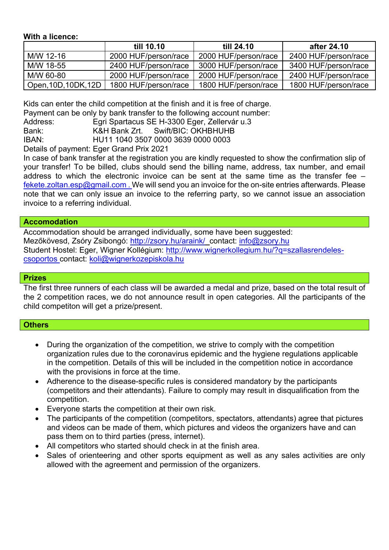# **With a licence:**

|                      | till 10.10           | till 24.10           | after 24.10          |
|----------------------|----------------------|----------------------|----------------------|
| M/W 12-16            | 2000 HUF/person/race | 2000 HUF/person/race | 2400 HUF/person/race |
| M/W 18-55            | 2400 HUF/person/race | 3000 HUF/person/race | 3400 HUF/person/race |
| M/W 60-80            | 2000 HUF/person/race | 2000 HUF/person/race | 2400 HUF/person/race |
| Open, 10D, 10DK, 12D | 1800 HUF/person/race | 1800 HUF/person/race | 1800 HUF/person/race |

Kids can enter the child competition at the finish and it is free of charge.

Payment can be only by bank transfer to the following account number:

| Address:      |  | Egri Spartacus SE H-3300 Eger, Zellervár u.3 |  |
|---------------|--|----------------------------------------------|--|
| $\sim$ $\sim$ |  | ________________________                     |  |

Bank: K&H Bank Zrt. Swift/BIC: OKHBHUHB

IBAN: HU11 1040 3507 0000 3639 0000 0003

Details of payment: Eger Grand Prix 2021

In case of bank transfer at the registration you are kindly requested to show the confirmation slip of your transfer! To be billed, clubs should send the billing name, address, tax number, and email address to which the electronic invoice can be sent at the same time as the transfer fee – [fekete.zoltan.esp@gmail.com](mailto:egrispartacus@atw.hu). We will send you an invoice for the on-site entries afterwards. Please note that we can only issue an invoice to the referring party, so we cannot issue an association invoice to a referring individual.

## **Accomodation**

Accommodation should be arranged individually, some have been suggested: Mezőkövesd, Zsóry Zsibongó: <http://zsory.hu/araink/>contact: [info@zsory.hu](mailto:info@zsory.hu) Student Hostel: Eger, Wigner Kollégium: [http://www.wignerkollegium.hu/?q=szallasrendeles](http://www.wignerkollegium.hu/?q=szallasrendeles-csoportos)[csoportos](http://www.wignerkollegium.hu/?q=szallasrendeles-csoportos) contact: [koli@wignerkozepiskola.hu](mailto:koli@wignerkozepiskola.hu)

## **Prizes**

The first three runners of each class will be awarded a medal and prize, based on the total result of the 2 competition races, we do not announce result in open categories. All the participants of the child competiton will get a prize/present.

# **Others**

- During the organization of the competition, we strive to comply with the competition organization rules due to the coronavirus epidemic and the hygiene regulations applicable in the competition. Details of this will be included in the competition notice in accordance with the provisions in force at the time.
- Adherence to the disease-specific rules is considered mandatory by the participants (competitors and their attendants). Failure to comply may result in disqualification from the competition.
- Everyone starts the competition at their own risk.
- The participants of the competition (competitors, spectators, attendants) agree that pictures and videos can be made of them, which pictures and videos the organizers have and can pass them on to third parties (press, internet).
- All competitors who started should check in at the finish area.
- Sales of orienteering and other sports equipment as well as any sales activities are only allowed with the agreement and permission of the organizers.